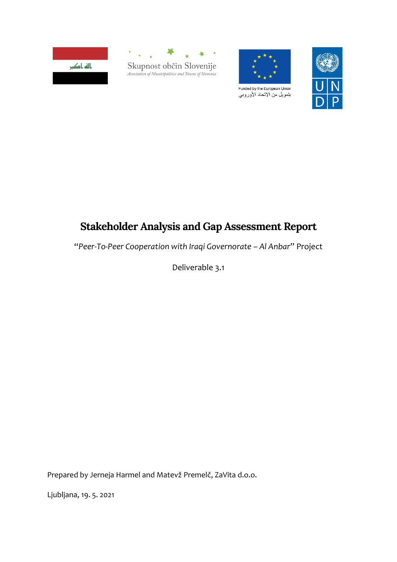





بتمويل من الاتحاد الأوروبي



# **Stakeholder Analysis and Gap Assessment Report**

"*Peer-To-Peer Cooperation with Iraqi Governorate – Al Anbar*" Project

Deliverable 3.1

Prepared by Jerneja Harmel and Matevž Premelč, ZaVita d.o.o.

Ljubljana, 19. 5. 2021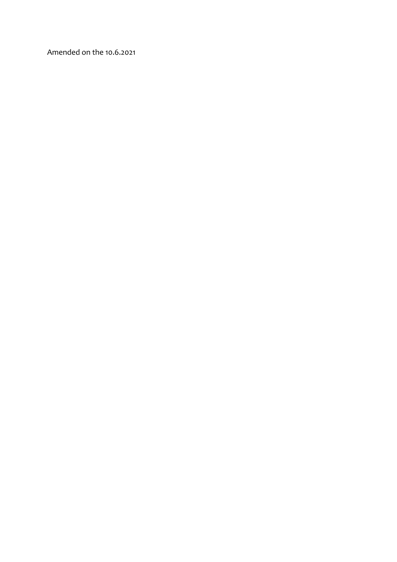Amended on the 10.6.2021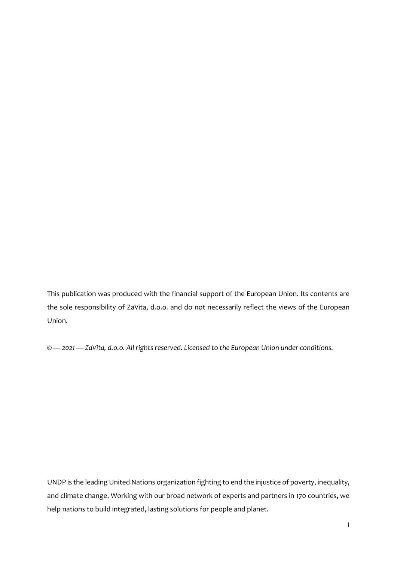This publication was produced with the financial support of the European Union. Its contents are the sole responsibility of ZaVita, d.o.o. and do not necessarily reflect the views of the European Union.

*© — 2021 — ZaVita, d.o.o. All rights reserved. Licensed to the European Union under conditions.*

UNDP is the leading United Nations organization fighting to end the injustice of poverty, inequality, and climate change. Working with our broad network of experts and partners in 170 countries, we help nations to build integrated, lasting solutions for people and planet.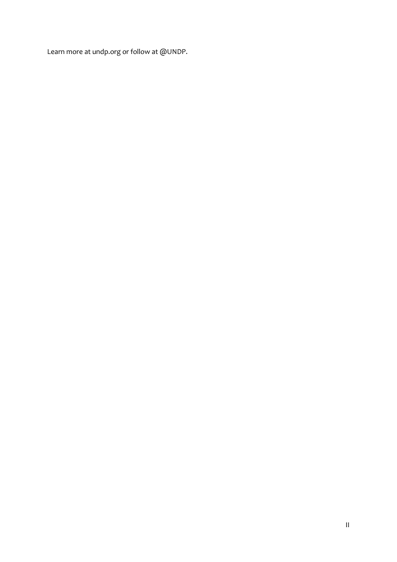Learn more at undp.org or follow at @UNDP.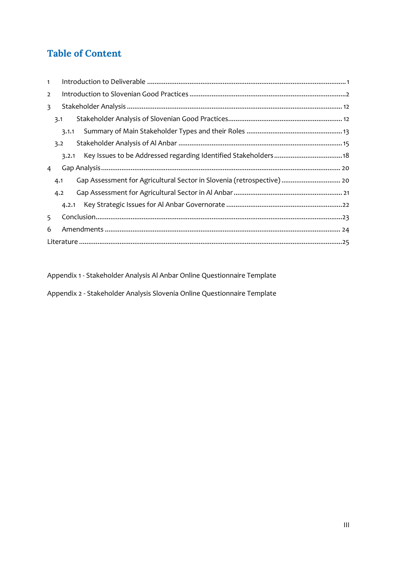# **Table of Content**

| $\mathbf{1}$   |       |                                                                        |  |  |  |
|----------------|-------|------------------------------------------------------------------------|--|--|--|
| $\overline{2}$ |       |                                                                        |  |  |  |
| 3              |       |                                                                        |  |  |  |
|                | 3.1   |                                                                        |  |  |  |
|                | 3.1.1 |                                                                        |  |  |  |
|                | 3.2   |                                                                        |  |  |  |
|                | 3.2.1 |                                                                        |  |  |  |
| 4              |       |                                                                        |  |  |  |
|                | 4.1   | Gap Assessment for Agricultural Sector in Slovenia (retrospective)  20 |  |  |  |
|                | 4.2   |                                                                        |  |  |  |
|                | 4.2.1 |                                                                        |  |  |  |
| 5              |       |                                                                        |  |  |  |
|                |       |                                                                        |  |  |  |
| 6              |       |                                                                        |  |  |  |

Appendix 1 - Stakeholder Analysis Al Anbar Online Questionnaire Template

Appendix 2 - Stakeholder Analysis Slovenia Online Questionnaire Template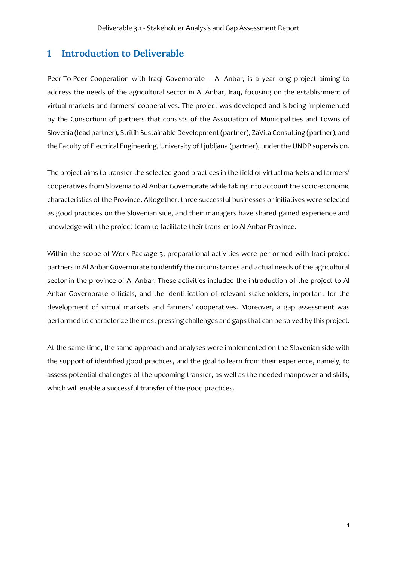### **1 Introduction to Deliverable**

Peer-To-Peer Cooperation with Iraqi Governorate – Al Anbar, is a year-long project aiming to address the needs of the agricultural sector in Al Anbar, Iraq, focusing on the establishment of virtual markets and farmers' cooperatives. The project was developed and is being implemented by the Consortium of partners that consists of the Association of Municipalities and Towns of Slovenia (lead partner), Stritih Sustainable Development(partner), ZaVita Consulting (partner), and the Faculty of Electrical Engineering, University of Ljubljana (partner), under the UNDP supervision.

The project aims to transfer the selected good practices in the field of virtual markets and farmers' cooperatives from Slovenia to Al Anbar Governorate while taking into account the socio-economic characteristics of the Province. Altogether, three successful businesses or initiatives were selected as good practices on the Slovenian side, and their managers have shared gained experience and knowledge with the project team to facilitate their transfer to Al Anbar Province.

Within the scope of Work Package 3, preparational activities were performed with Iraqi project partners in Al Anbar Governorate to identify the circumstances and actual needs of the agricultural sector in the province of Al Anbar. These activities included the introduction of the project to Al Anbar Governorate officials, and the identification of relevant stakeholders, important for the development of virtual markets and farmers' cooperatives. Moreover, a gap assessment was performed to characterize the most pressing challenges and gaps that can be solved by this project.

At the same time, the same approach and analyses were implemented on the Slovenian side with the support of identified good practices, and the goal to learn from their experience, namely, to assess potential challenges of the upcoming transfer, as well as the needed manpower and skills, which will enable a successful transfer of the good practices.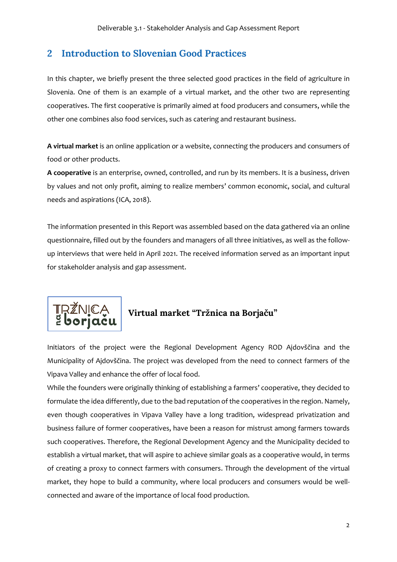# **2 Introduction to Slovenian Good Practices**

In this chapter, we briefly present the three selected good practices in the field of agriculture in Slovenia. One of them is an example of a virtual market, and the other two are representing cooperatives. The first cooperative is primarily aimed at food producers and consumers, while the other one combines also food services, such as catering and restaurant business.

**A virtual market** is an online application or a website, connecting the producers and consumers of food or other products.

**A cooperative** is an enterprise, owned, controlled, and run by its members. It is a business, driven by values and not only profit, aiming to realize members' common economic, social, and cultural needs and aspirations (ICA, 2018).

The information presented in this Report was assembled based on the data gathered via an online questionnaire, filled out by the founders and managers of all three initiatives, as well as the followup interviews that were held in April 2021. The received information served as an important input for stakeholder analysis and gap assessment.



Initiators of the project were the Regional Development Agency ROD Ajdovščina and the Municipality of Ajdovščina. The project was developed from the need to connect farmers of the Vipava Valley and enhance the offer of local food.

While the founders were originally thinking of establishing a farmers' cooperative, they decided to formulate the idea differently, due to the bad reputation of the cooperatives in the region. Namely, even though cooperatives in Vipava Valley have a long tradition, widespread privatization and business failure of former cooperatives, have been a reason for mistrust among farmers towards such cooperatives. Therefore, the Regional Development Agency and the Municipality decided to establish a virtual market, that will aspire to achieve similar goals as a cooperative would, in terms of creating a proxy to connect farmers with consumers. Through the development of the virtual market, they hope to build a community, where local producers and consumers would be wellconnected and aware of the importance of local food production.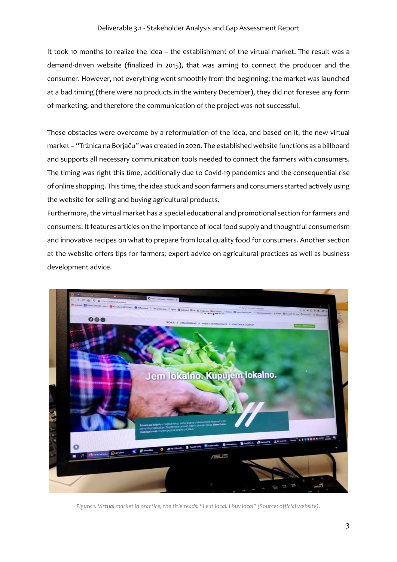It took 10 months to realize the idea – the establishment of the virtual market. The result was a demand-driven website (finalized in 2015), that was aiming to connect the producer and the consumer. However, not everything went smoothly from the beginning; the market was launched at a bad timing (there were no products in the wintery December), they did not foresee any form of marketing, and therefore the communication of the project was not successful.

These obstacles were overcome by a reformulation of the idea, and based on it, the new virtual market – "Tržnica na Borjaču" was created in 2020. The established website functions as a billboard and supports all necessary communication tools needed to connect the farmers with consumers. The timing was right this time, additionally due to Covid-19 pandemics and the consequential rise of online shopping. This time, the idea stuck and soon farmers and consumers started actively using the website for selling and buying agricultural products.

Furthermore, the virtual market has a special educational and promotional section for farmers and consumers. It features articles on the importance of local food supply and thoughtful consumerism and innovative recipes on what to prepare from local quality food for consumers. Another section at the website offers tips for farmers; expert advice on agricultural practices as well as business development advice.



*Figure 1. Virtual market in practice, the title reads: "I eat local. I buy local" (Source: official website).*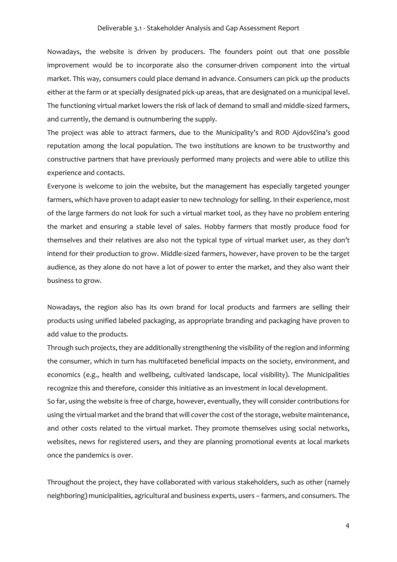Nowadays, the website is driven by producers. The founders point out that one possible improvement would be to incorporate also the consumer-driven component into the virtual market. This way, consumers could place demand in advance. Consumers can pick up the products either at the farm or at specially designated pick-up areas, that are designated on a municipal level. The functioning virtual market lowers the risk of lack of demand to small and middle-sized farmers, and currently, the demand is outnumbering the supply.

The project was able to attract farmers, due to the Municipality's and ROD Ajdovščina's good reputation among the local population. The two institutions are known to be trustworthy and constructive partners that have previously performed many projects and were able to utilize this experience and contacts.

Everyone is welcome to join the website, but the management has especially targeted younger farmers, which have proven to adapt easier to new technology for selling. In their experience, most of the large farmers do not look for such a virtual market tool, as they have no problem entering the market and ensuring a stable level of sales. Hobby farmers that mostly produce food for themselves and their relatives are also not the typical type of virtual market user, as they don't intend for their production to grow. Middle-sized farmers, however, have proven to be the target audience, as they alone do not have a lot of power to enter the market, and they also want their business to grow.

Nowadays, the region also has its own brand for local products and farmers are selling their products using unified labeled packaging, as appropriate branding and packaging have proven to add value to the products.

Through such projects, they are additionally strengthening the visibility of the region and informing the consumer, which in turn has multifaceted beneficial impacts on the society, environment, and economics (e.g., health and wellbeing, cultivated landscape, local visibility). The Municipalities recognize this and therefore, consider this initiative as an investment in local development.

So far, using the website is free of charge, however, eventually, they will consider contributions for using the virtual market and the brand that will cover the cost of the storage, website maintenance, and other costs related to the virtual market. They promote themselves using social networks, websites, news for registered users, and they are planning promotional events at local markets once the pandemics is over.

Throughout the project, they have collaborated with various stakeholders, such as other (namely neighboring) municipalities, agricultural and business experts, users – farmers, and consumers. The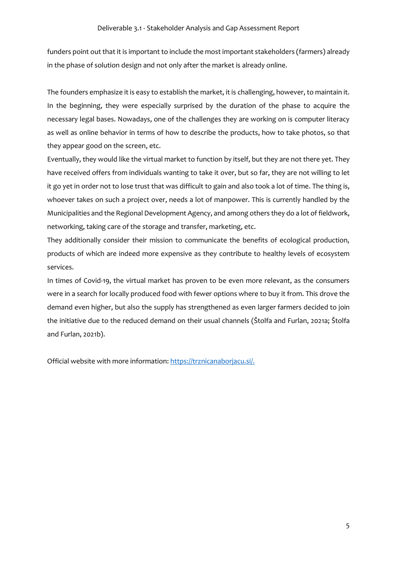funders point out that it is important to include the most important stakeholders (farmers) already in the phase of solution design and not only after the market is already online.

The founders emphasize it is easy to establish the market, it is challenging, however, to maintain it. In the beginning, they were especially surprised by the duration of the phase to acquire the necessary legal bases. Nowadays, one of the challenges they are working on is computer literacy as well as online behavior in terms of how to describe the products, how to take photos, so that they appear good on the screen, etc.

Eventually, they would like the virtual market to function by itself, but they are not there yet. They have received offers from individuals wanting to take it over, but so far, they are not willing to let it go yet in order not to lose trust that was difficult to gain and also took a lot of time. The thing is, whoever takes on such a project over, needs a lot of manpower. This is currently handled by the Municipalities and the Regional Development Agency, and among others they do a lot of fieldwork, networking, taking care of the storage and transfer, marketing, etc.

They additionally consider their mission to communicate the benefits of ecological production, products of which are indeed more expensive as they contribute to healthy levels of ecosystem services.

In times of Covid-19, the virtual market has proven to be even more relevant, as the consumers were in a search for locally produced food with fewer options where to buy it from. This drove the demand even higher, but also the supply has strengthened as even larger farmers decided to join the initiative due to the reduced demand on their usual channels (Štolfa and Furlan, 2021a; Štolfa and Furlan, 2021b).

Official website with more information[: https://trznicanaborjacu.si/.](https://trznicanaborjacu.si/)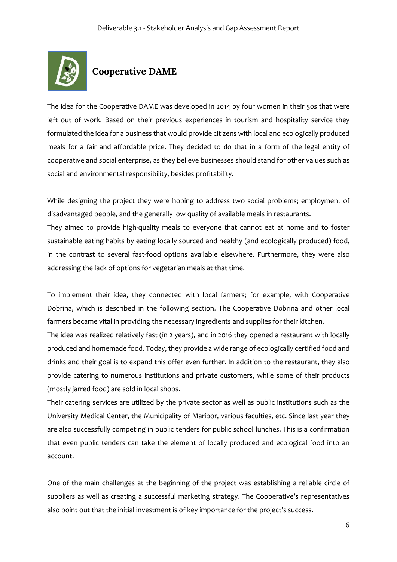

# **Cooperative DAME**

The idea for the Cooperative DAME was developed in 2014 by four women in their 50s that were left out of work. Based on their previous experiences in tourism and hospitality service they formulated the idea for a business that would provide citizens with local and ecologically produced meals for a fair and affordable price. They decided to do that in a form of the legal entity of cooperative and social enterprise, as they believe businesses should stand for other values such as social and environmental responsibility, besides profitability.

While designing the project they were hoping to address two social problems; employment of disadvantaged people, and the generally low quality of available meals in restaurants. They aimed to provide high-quality meals to everyone that cannot eat at home and to foster sustainable eating habits by eating locally sourced and healthy (and ecologically produced) food,

in the contrast to several fast-food options available elsewhere. Furthermore, they were also addressing the lack of options for vegetarian meals at that time.

To implement their idea, they connected with local farmers; for example, with Cooperative Dobrina, which is described in the following section. The Cooperative Dobrina and other local farmers became vital in providing the necessary ingredients and supplies for their kitchen.

The idea was realized relatively fast (in 2 years), and in 2016 they opened a restaurant with locally produced and homemade food. Today, they provide a wide range of ecologically certified food and drinks and their goal is to expand this offer even further. In addition to the restaurant, they also provide catering to numerous institutions and private customers, while some of their products (mostly jarred food) are sold in local shops.

Their catering services are utilized by the private sector as well as public institutions such as the University Medical Center, the Municipality of Maribor, various faculties, etc. Since last year they are also successfully competing in public tenders for public school lunches. This is a confirmation that even public tenders can take the element of locally produced and ecological food into an account.

One of the main challenges at the beginning of the project was establishing a reliable circle of suppliers as well as creating a successful marketing strategy. The Cooperative's representatives also point out that the initial investment is of key importance for the project's success.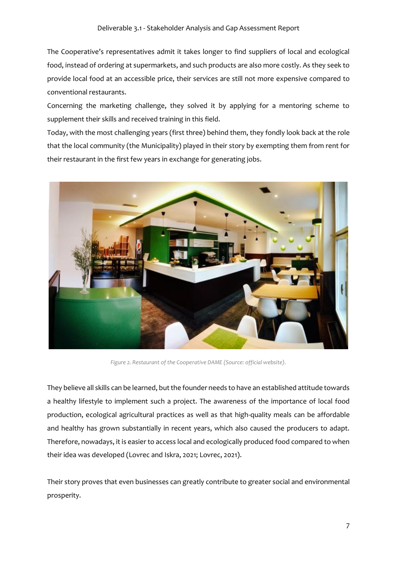The Cooperative's representatives admit it takes longer to find suppliers of local and ecological food, instead of ordering at supermarkets, and such products are also more costly. As they seek to provide local food at an accessible price, their services are still not more expensive compared to conventional restaurants.

Concerning the marketing challenge, they solved it by applying for a mentoring scheme to supplement their skills and received training in this field.

Today, with the most challenging years (first three) behind them, they fondly look back at the role that the local community (the Municipality) played in their story by exempting them from rent for their restaurant in the first few years in exchange for generating jobs.



*Figure 2. Restaurant of the Cooperative DAME (Source: official website).*

They believe all skills can be learned, but the founder needs to have an established attitude towards a healthy lifestyle to implement such a project. The awareness of the importance of local food production, ecological agricultural practices as well as that high-quality meals can be affordable and healthy has grown substantially in recent years, which also caused the producers to adapt. Therefore, nowadays, it is easier to access local and ecologically produced food compared to when their idea was developed (Lovrec and Iskra, 2021; Lovrec, 2021).

Their story proves that even businesses can greatly contribute to greater social and environmental prosperity.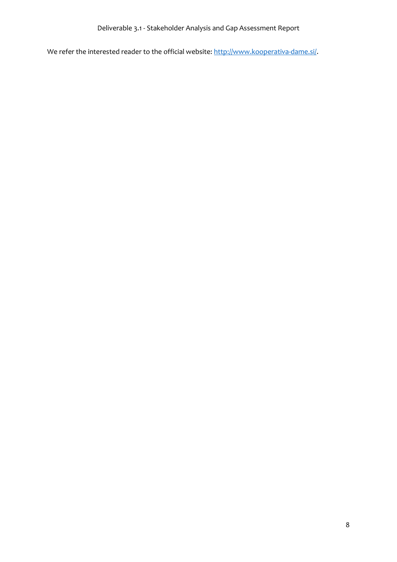We refer the interested reader to the official website: [http://www.kooperativa-dame.si/.](http://www.kooperativa-dame.si/)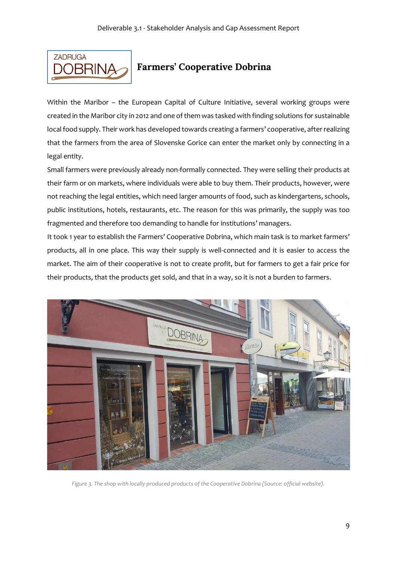

# **Farmers' Cooperative Dobrina**

Within the Maribor – the European Capital of Culture Initiative, several working groups were created in the Maribor city in 2012 and one of them was tasked with finding solutions for sustainable local food supply. Their work has developed towards creating a farmers' cooperative, after realizing that the farmers from the area of Slovenske Gorice can enter the market only by connecting in a legal entity.

Small farmers were previously already non-formally connected. They were selling their products at their farm or on markets, where individuals were able to buy them. Their products, however, were not reaching the legal entities, which need larger amounts of food, such as kindergartens, schools, public institutions, hotels, restaurants, etc. The reason for this was primarily, the supply was too fragmented and therefore too demanding to handle for institutions' managers.

It took 1 year to establish the Farmers' Cooperative Dobrina, which main task is to market farmers' products, all in one place. This way their supply is well-connected and it is easier to access the market. The aim of their cooperative is not to create profit, but for farmers to get a fair price for their products, that the products get sold, and that in a way, so it is not a burden to farmers.



*Figure 3. The shop with locally produced products of the Cooperative Dobrina (Source: official website).*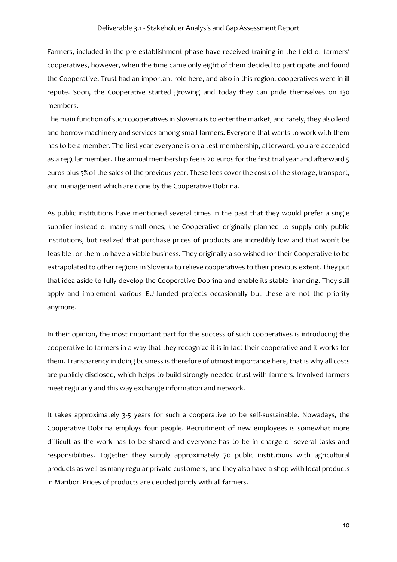Farmers, included in the pre-establishment phase have received training in the field of farmers' cooperatives, however, when the time came only eight of them decided to participate and found the Cooperative. Trust had an important role here, and also in this region, cooperatives were in ill repute. Soon, the Cooperative started growing and today they can pride themselves on 130 members.

The main function of such cooperatives in Slovenia is to enter the market, and rarely, they also lend and borrow machinery and services among small farmers. Everyone that wants to work with them has to be a member. The first year everyone is on a test membership, afterward, you are accepted as a regular member. The annual membership fee is 20 euros for the first trial year and afterward 5 euros plus 5% of the sales of the previous year. These fees cover the costs of the storage, transport, and management which are done by the Cooperative Dobrina.

As public institutions have mentioned several times in the past that they would prefer a single supplier instead of many small ones, the Cooperative originally planned to supply only public institutions, but realized that purchase prices of products are incredibly low and that won't be feasible for them to have a viable business. They originally also wished for their Cooperative to be extrapolated to other regions in Slovenia to relieve cooperatives to their previous extent. They put that idea aside to fully develop the Cooperative Dobrina and enable its stable financing. They still apply and implement various EU-funded projects occasionally but these are not the priority anymore.

In their opinion, the most important part for the success of such cooperatives is introducing the cooperative to farmers in a way that they recognize it is in fact their cooperative and it works for them. Transparency in doing business is therefore of utmost importance here, that is why all costs are publicly disclosed, which helps to build strongly needed trust with farmers. Involved farmers meet regularly and this way exchange information and network.

It takes approximately 3-5 years for such a cooperative to be self-sustainable. Nowadays, the Cooperative Dobrina employs four people. Recruitment of new employees is somewhat more difficult as the work has to be shared and everyone has to be in charge of several tasks and responsibilities. Together they supply approximately 70 public institutions with agricultural products as well as many regular private customers, and they also have a shop with local products in Maribor. Prices of products are decided jointly with all farmers.

10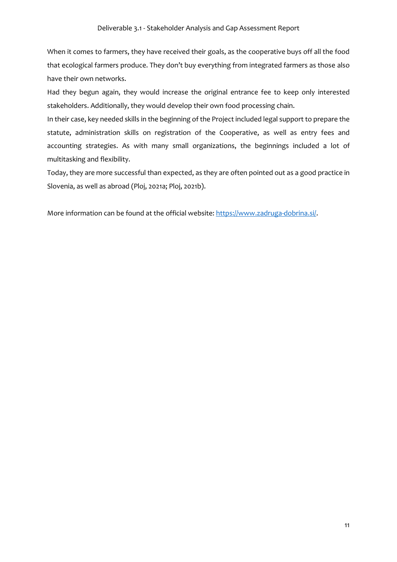When it comes to farmers, they have received their goals, as the cooperative buys off all the food that ecological farmers produce. They don't buy everything from integrated farmers as those also have their own networks.

Had they begun again, they would increase the original entrance fee to keep only interested stakeholders. Additionally, they would develop their own food processing chain.

In their case, key needed skills in the beginning of the Project included legal support to prepare the statute, administration skills on registration of the Cooperative, as well as entry fees and accounting strategies. As with many small organizations, the beginnings included a lot of multitasking and flexibility.

Today, they are more successful than expected, as they are often pointed out as a good practice in Slovenia, as well as abroad (Ploj, 2021a; Ploj, 2021b).

More information can be found at the official website: [https://www.zadruga-dobrina.si/.](https://www.zadruga-dobrina.si/)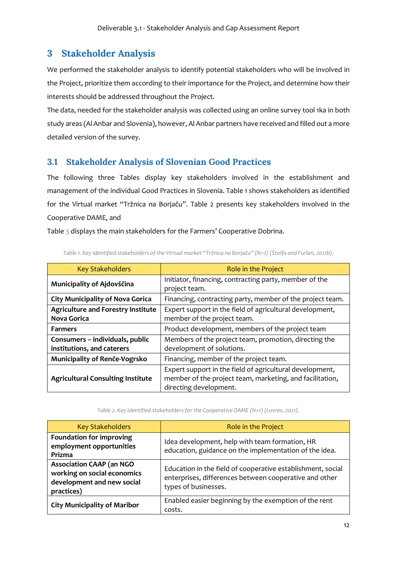# **3 Stakeholder Analysis**

We performed the stakeholder analysis to identify potential stakeholders who will be involved in the Project, prioritize them according to their importance for the Project, and determine how their interests should be addressed throughout the Project.

The data, needed for the stakeholder analysis was collected using an online survey tool 1ka in both study areas (Al Anbar and Slovenia), however, Al Anbar partners have received and filled out a more detailed version of the survey.

### **3.1 Stakeholder Analysis of Slovenian Good Practices**

The following three Tables display key stakeholders involved in the establishment and management of the individual Good Practices in Slovenia. Table 1 shows stakeholders as identified for the Virtual market "Tržnica na Borjaču". Table 2 presents key stakeholders involved in the Cooperative DAME, and

Table 3 displays the main stakeholders for the Farmers' Cooperative Dobrina.

| <b>Key Stakeholders</b>                                         | Role in the Project                                                                                                                            |  |  |
|-----------------------------------------------------------------|------------------------------------------------------------------------------------------------------------------------------------------------|--|--|
| Municipality of Ajdovščina                                      | Initiator, financing, contracting party, member of the<br>project team.                                                                        |  |  |
| <b>City Municipality of Nova Gorica</b>                         | Financing, contracting party, member of the project team.                                                                                      |  |  |
| <b>Agriculture and Forestry Institute</b><br><b>Nova Gorica</b> | Expert support in the field of agricultural development,<br>member of the project team.                                                        |  |  |
| <b>Farmers</b>                                                  | Product development, members of the project team                                                                                               |  |  |
| Consumers - individuals, public<br>institutions, and caterers   | Members of the project team, promotion, directing the<br>development of solutions.                                                             |  |  |
| Municipality of Renče-Vogrsko                                   | Financing, member of the project team.                                                                                                         |  |  |
| <b>Agricultural Consulting Institute</b>                        | Expert support in the field of agricultural development,<br>member of the project team, marketing, and facilitation,<br>directing development. |  |  |

*Table 1. Key identified stakeholders of the Virtual market "Tržnica na Borjaču" (N=2) (Štolfa and Furlan, 2021b).*

*Table 2. Key identified stakeholders for the Cooperative DAME (N=1) (Lovrec, 2021).*

| <b>Key Stakeholders</b>                                                                                    | Role in the Project                                                                                                                           |
|------------------------------------------------------------------------------------------------------------|-----------------------------------------------------------------------------------------------------------------------------------------------|
| <b>Foundation for improving</b><br>employment opportunities<br>Prizma                                      | Idea development, help with team formation, HR<br>education, guidance on the implementation of the idea.                                      |
| <b>Association CAAP (an NGO</b><br>working on social economics<br>development and new social<br>practices) | Education in the field of cooperative establishment, social<br>enterprises, differences between cooperative and other<br>types of businesses. |
| <b>City Municipality of Maribor</b>                                                                        | Enabled easier beginning by the exemption of the rent<br>costs.                                                                               |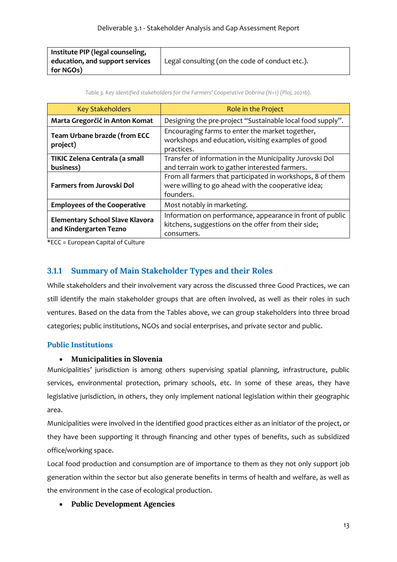| Institute PIP (legal counseling, |                                                 |
|----------------------------------|-------------------------------------------------|
| education, and support services  | Legal consulting (on the code of conduct etc.). |
| for NGOs)                        |                                                 |

| Table 3. Key identified stakeholders for the Farmers' Cooperative Dobrina (N=1) (Ploj, 2021b). |  |
|------------------------------------------------------------------------------------------------|--|
|------------------------------------------------------------------------------------------------|--|

| <b>Key Stakeholders</b>                                          | Role in the Project                                                                                                            |  |
|------------------------------------------------------------------|--------------------------------------------------------------------------------------------------------------------------------|--|
| Marta Gregorčič in Anton Komat                                   | Designing the pre-project "Sustainable local food supply".                                                                     |  |
| Team Urbane brazde (from ECC<br>project)                         | Encouraging farms to enter the market together,<br>workshops and education, visiting examples of good<br>practices.            |  |
| TIKIC Zelena Centrala (a small<br>business)                      | Transfer of information in the Municipality Jurovski Dol<br>and terrain work to gather interested farmers.                     |  |
| <b>Farmers from Jurovski Dol</b>                                 | From all farmers that participated in workshops, 8 of them<br>were willing to go ahead with the cooperative idea;<br>founders. |  |
| <b>Employees of the Cooperative</b>                              | Most notably in marketing.                                                                                                     |  |
| <b>Elementary School Slave Klavora</b><br>and Kindergarten Tezno | Information on performance, appearance in front of public<br>kitchens, suggestions on the offer from their side;<br>consumers. |  |

\*ECC = European Capital of Culture

### **3.1.1 Summary of Main Stakeholder Types and their Roles**

While stakeholders and their involvement vary across the discussed three Good Practices, we can still identify the main stakeholder groups that are often involved, as well as their roles in such ventures. Based on the data from the Tables above, we can group stakeholders into three broad categories; public institutions, NGOs and social enterprises, and private sector and public.

### **Public Institutions**

### • **Municipalities in Slovenia**

Municipalities' jurisdiction is among others supervising spatial planning, infrastructure, public services, environmental protection, primary schools, etc. In some of these areas, they have legislative jurisdiction, in others, they only implement national legislation within their geographic area.

Municipalities were involved in the identified good practices either as an initiator of the project, or they have been supporting it through financing and other types of benefits, such as subsidized office/working space.

Local food production and consumption are of importance to them as they not only support job generation within the sector but also generate benefits in terms of health and welfare, as well as the environment in the case of ecological production.

### • **Public Development Agencies**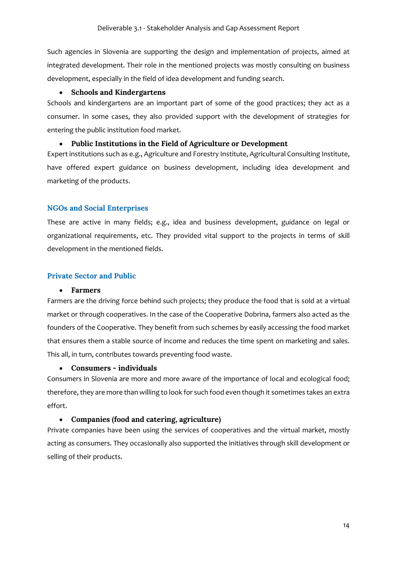Such agencies in Slovenia are supporting the design and implementation of projects, aimed at integrated development. Their role in the mentioned projects was mostly consulting on business development, especially in the field of idea development and funding search.

#### • **Schools and Kindergartens**

Schools and kindergartens are an important part of some of the good practices; they act as a consumer. In some cases, they also provided support with the development of strategies for entering the public institution food market.

#### • **Public Institutions in the Field of Agriculture or Development**

Expert institutions such as e.g., Agriculture and Forestry Institute, Agricultural Consulting Institute, have offered expert guidance on business development, including idea development and marketing of the products.

#### **NGOs and Social Enterprises**

These are active in many fields; e.g., idea and business development, guidance on legal or organizational requirements, etc. They provided vital support to the projects in terms of skill development in the mentioned fields.

#### **Private Sector and Public**

#### • **Farmers**

Farmers are the driving force behind such projects; they produce the food that is sold at a virtual market or through cooperatives. In the case of the Cooperative Dobrina, farmers also acted as the founders of the Cooperative. They benefit from such schemes by easily accessing the food market that ensures them a stable source of income and reduces the time spent on marketing and sales. This all, in turn, contributes towards preventing food waste.

#### • **Consumers - individuals**

Consumers in Slovenia are more and more aware of the importance of local and ecological food; therefore, they are more than willing to look for such food even though it sometimes takes an extra effort.

#### • **Companies (food and catering, agriculture)**

Private companies have been using the services of cooperatives and the virtual market, mostly acting as consumers. They occasionally also supported the initiatives through skill development or selling of their products.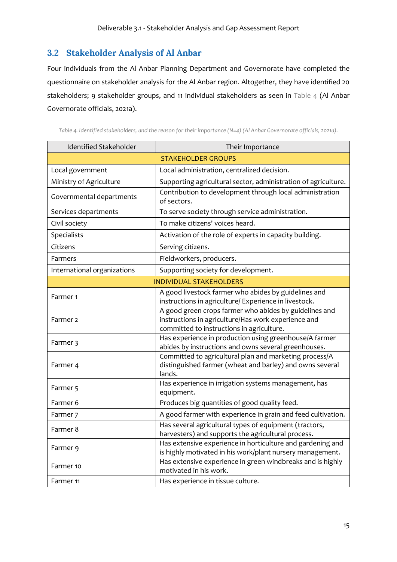# **3.2 Stakeholder Analysis of Al Anbar**

Four individuals from the Al Anbar Planning Department and Governorate have completed the questionnaire on stakeholder analysis for the Al Anbar region. Altogether, they have identified 20 stakeholders; 9 stakeholder groups, and 11 individual stakeholders as seen in Table 4 (Al Anbar Governorate officials, 2021a).

*Table 4. Identified stakeholders, and the reason for their importance (N=4) (Al Anbar Governorate officials, 2021a).*

| <b>Identified Stakeholder</b> | Their Importance                                                                                                                                                                                                                                                                                                                                                                                                                                                                                                                                                                                                                                                                                                                                                                                                                                                                                                        |  |  |
|-------------------------------|-------------------------------------------------------------------------------------------------------------------------------------------------------------------------------------------------------------------------------------------------------------------------------------------------------------------------------------------------------------------------------------------------------------------------------------------------------------------------------------------------------------------------------------------------------------------------------------------------------------------------------------------------------------------------------------------------------------------------------------------------------------------------------------------------------------------------------------------------------------------------------------------------------------------------|--|--|
| <b>STAKEHOLDER GROUPS</b>     |                                                                                                                                                                                                                                                                                                                                                                                                                                                                                                                                                                                                                                                                                                                                                                                                                                                                                                                         |  |  |
| Local government              | Local administration, centralized decision.                                                                                                                                                                                                                                                                                                                                                                                                                                                                                                                                                                                                                                                                                                                                                                                                                                                                             |  |  |
| Ministry of Agriculture       | Supporting agricultural sector, administration of agriculture.                                                                                                                                                                                                                                                                                                                                                                                                                                                                                                                                                                                                                                                                                                                                                                                                                                                          |  |  |
| Governmental departments      | Contribution to development through local administration<br>of sectors.                                                                                                                                                                                                                                                                                                                                                                                                                                                                                                                                                                                                                                                                                                                                                                                                                                                 |  |  |
| Services departments          | To serve society through service administration.                                                                                                                                                                                                                                                                                                                                                                                                                                                                                                                                                                                                                                                                                                                                                                                                                                                                        |  |  |
| Civil society                 | To make citizens' voices heard.                                                                                                                                                                                                                                                                                                                                                                                                                                                                                                                                                                                                                                                                                                                                                                                                                                                                                         |  |  |
| Specialists                   | Activation of the role of experts in capacity building.<br>Serving citizens.<br>Fieldworkers, producers.<br>Supporting society for development.<br><b>INDIVIDUAL STAKEHOLDERS</b><br>A good livestock farmer who abides by guidelines and<br>instructions in agriculture/ Experience in livestock.<br>A good green crops farmer who abides by guidelines and<br>instructions in agriculture/Has work experience and<br>committed to instructions in agriculture.<br>Has experience in production using greenhouse/A farmer<br>abides by instructions and owns several greenhouses.<br>Committed to agricultural plan and marketing process/A<br>lands.<br>Has experience in irrigation systems management, has<br>equipment.<br>Produces big quantities of good quality feed.<br>Has several agricultural types of equipment (tractors,<br>harvesters) and supports the agricultural process.<br>motivated in his work. |  |  |
| Citizens                      |                                                                                                                                                                                                                                                                                                                                                                                                                                                                                                                                                                                                                                                                                                                                                                                                                                                                                                                         |  |  |
| Farmers                       |                                                                                                                                                                                                                                                                                                                                                                                                                                                                                                                                                                                                                                                                                                                                                                                                                                                                                                                         |  |  |
| International organizations   |                                                                                                                                                                                                                                                                                                                                                                                                                                                                                                                                                                                                                                                                                                                                                                                                                                                                                                                         |  |  |
|                               |                                                                                                                                                                                                                                                                                                                                                                                                                                                                                                                                                                                                                                                                                                                                                                                                                                                                                                                         |  |  |
| Farmer <sub>1</sub>           |                                                                                                                                                                                                                                                                                                                                                                                                                                                                                                                                                                                                                                                                                                                                                                                                                                                                                                                         |  |  |
| Farmer <sub>2</sub>           |                                                                                                                                                                                                                                                                                                                                                                                                                                                                                                                                                                                                                                                                                                                                                                                                                                                                                                                         |  |  |
| Farmer 3                      |                                                                                                                                                                                                                                                                                                                                                                                                                                                                                                                                                                                                                                                                                                                                                                                                                                                                                                                         |  |  |
| Farmer 4                      | distinguished farmer (wheat and barley) and owns several                                                                                                                                                                                                                                                                                                                                                                                                                                                                                                                                                                                                                                                                                                                                                                                                                                                                |  |  |
| Farmer <sub>5</sub>           |                                                                                                                                                                                                                                                                                                                                                                                                                                                                                                                                                                                                                                                                                                                                                                                                                                                                                                                         |  |  |
| Farmer 6                      |                                                                                                                                                                                                                                                                                                                                                                                                                                                                                                                                                                                                                                                                                                                                                                                                                                                                                                                         |  |  |
| Farmer <sub>7</sub>           | A good farmer with experience in grain and feed cultivation.                                                                                                                                                                                                                                                                                                                                                                                                                                                                                                                                                                                                                                                                                                                                                                                                                                                            |  |  |
| Farmer 8                      |                                                                                                                                                                                                                                                                                                                                                                                                                                                                                                                                                                                                                                                                                                                                                                                                                                                                                                                         |  |  |
| Farmer 9                      | Has extensive experience in horticulture and gardening and<br>is highly motivated in his work/plant nursery management.                                                                                                                                                                                                                                                                                                                                                                                                                                                                                                                                                                                                                                                                                                                                                                                                 |  |  |
| Farmer 10                     | Has extensive experience in green windbreaks and is highly                                                                                                                                                                                                                                                                                                                                                                                                                                                                                                                                                                                                                                                                                                                                                                                                                                                              |  |  |
| Farmer 11                     | Has experience in tissue culture.                                                                                                                                                                                                                                                                                                                                                                                                                                                                                                                                                                                                                                                                                                                                                                                                                                                                                       |  |  |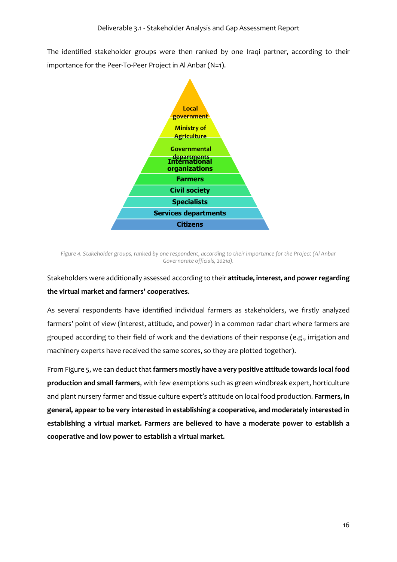The identified stakeholder groups were then ranked by one Iraqi partner, according to their importance for the Peer-To-Peer Project in Al Anbar (N=1).



*Figure 4. Stakeholder groups, ranked by one respondent, according to their importance for the Project (Al Anbar Governorate officials, 2021a).*

### Stakeholders were additionally assessed according to their **attitude, interest, and power regarding the virtual market and farmers' cooperatives**.

As several respondents have identified individual farmers as stakeholders, we firstly analyzed farmers' point of view (interest, attitude, and power) in a common radar chart where farmers are grouped according to their field of work and the deviations of their response (e.g., irrigation and machinery experts have received the same scores, so they are plotted together).

From Figure 5, we can deduct that **farmers mostly have a very positive attitude towards local food production and small farmers**, with few exemptions such as green windbreak expert, horticulture and plant nursery farmer and tissue culture expert's attitude on local food production. **Farmers, in general, appear to be very interested in establishing a cooperative, and moderately interested in establishing a virtual market. Farmers are believed to have a moderate power to establish a cooperative and low power to establish a virtual market.**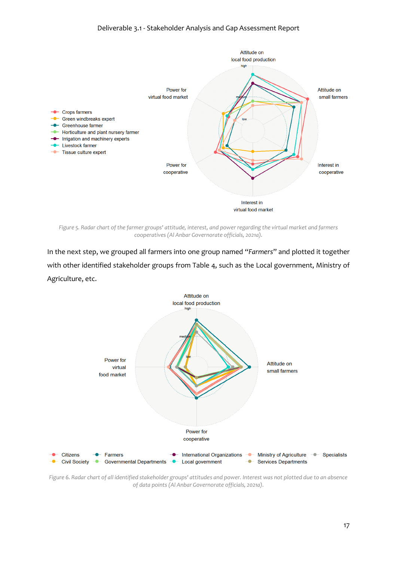

*Figure 5. Radar chart of the farmer groups' attitude, interest, and power regarding the virtual market and farmers cooperatives (Al Anbar Governorate officials, 2021a).*

In the next step, we grouped all farmers into one group named "*Farmers*" and plotted it together with other identified stakeholder groups from Table 4, such as the Local government, Ministry of Agriculture, etc.



*Figure 6. Radar chart of all identified stakeholder groups' attitudes and power. Interest was not plotted due to an absence of data points (Al Anbar Governorate officials, 2021a).*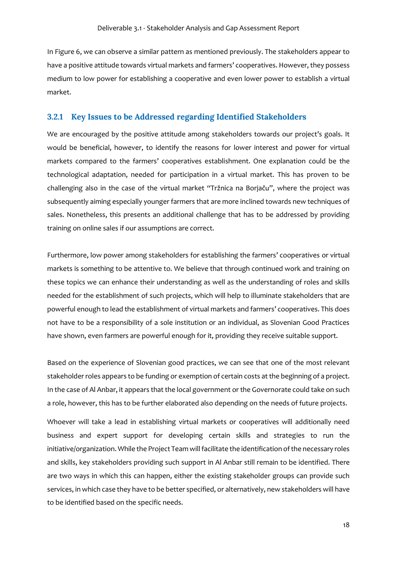In Figure 6, we can observe a similar pattern as mentioned previously. The stakeholders appear to have a positive attitude towards virtual markets and farmers' cooperatives. However, they possess medium to low power for establishing a cooperative and even lower power to establish a virtual market.

#### **3.2.1 Key Issues to be Addressed regarding Identified Stakeholders**

We are encouraged by the positive attitude among stakeholders towards our project's goals. It would be beneficial, however, to identify the reasons for lower interest and power for virtual markets compared to the farmers' cooperatives establishment. One explanation could be the technological adaptation, needed for participation in a virtual market. This has proven to be challenging also in the case of the virtual market "Tržnica na Borjaču", where the project was subsequently aiming especially younger farmers that are more inclined towards new techniques of sales. Nonetheless, this presents an additional challenge that has to be addressed by providing training on online sales if our assumptions are correct.

Furthermore, low power among stakeholders for establishing the farmers' cooperatives or virtual markets is something to be attentive to. We believe that through continued work and training on these topics we can enhance their understanding as well as the understanding of roles and skills needed for the establishment of such projects, which will help to illuminate stakeholders that are powerful enough to lead the establishment of virtual markets and farmers' cooperatives. This does not have to be a responsibility of a sole institution or an individual, as Slovenian Good Practices have shown, even farmers are powerful enough for it, providing they receive suitable support.

Based on the experience of Slovenian good practices, we can see that one of the most relevant stakeholder roles appears to be funding or exemption of certain costs at the beginning of a project. In the case of Al Anbar, it appears that the local government or the Governorate could take on such a role, however, this has to be further elaborated also depending on the needs of future projects.

Whoever will take a lead in establishing virtual markets or cooperatives will additionally need business and expert support for developing certain skills and strategies to run the initiative/organization. While the Project Team will facilitate the identification of the necessary roles and skills, key stakeholders providing such support in Al Anbar still remain to be identified. There are two ways in which this can happen, either the existing stakeholder groups can provide such services, in which case they have to be better specified, or alternatively, new stakeholders will have to be identified based on the specific needs.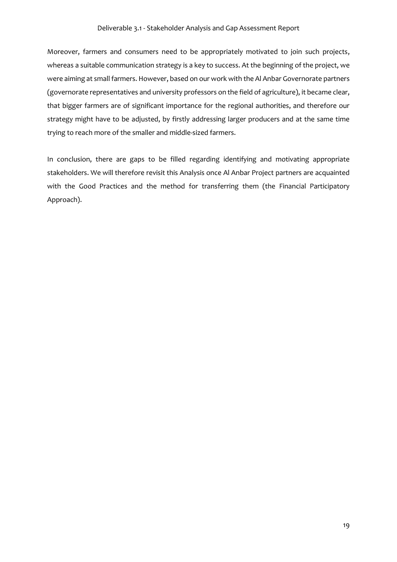#### Deliverable 3.1 - Stakeholder Analysis and Gap Assessment Report

Moreover, farmers and consumers need to be appropriately motivated to join such projects, whereas a suitable communication strategy is a key to success. At the beginning of the project, we were aiming at small farmers. However, based on our work with the Al Anbar Governorate partners (governorate representatives and university professors on the field of agriculture), it became clear, that bigger farmers are of significant importance for the regional authorities, and therefore our strategy might have to be adjusted, by firstly addressing larger producers and at the same time trying to reach more of the smaller and middle-sized farmers.

In conclusion, there are gaps to be filled regarding identifying and motivating appropriate stakeholders. We will therefore revisit this Analysis once Al Anbar Project partners are acquainted with the Good Practices and the method for transferring them (the Financial Participatory Approach).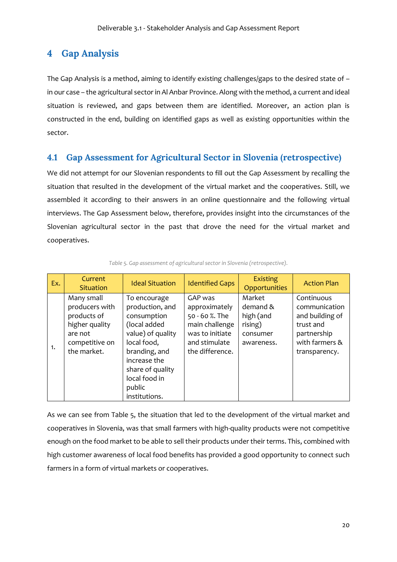# **4 Gap Analysis**

The Gap Analysis is a method, aiming to identify existing challenges/gaps to the desired state of – in our case – the agricultural sector in Al Anbar Province. Along with the method, a current and ideal situation is reviewed, and gaps between them are identified. Moreover, an action plan is constructed in the end, building on identified gaps as well as existing opportunities within the sector.

### **4.1 Gap Assessment for Agricultural Sector in Slovenia (retrospective)**

We did not attempt for our Slovenian respondents to fill out the Gap Assessment by recalling the situation that resulted in the development of the virtual market and the cooperatives. Still, we assembled it according to their answers in an online questionnaire and the following virtual interviews. The Gap Assessment below, therefore, provides insight into the circumstances of the Slovenian agricultural sector in the past that drove the need for the virtual market and cooperatives.

| Ex. | Current<br><b>Situation</b>                                                                               | <b>Ideal Situation</b>                                                                                                                                                                              | <b>Identified Gaps</b>                                                                                              | <b>Existing</b><br>Opportunities                                     | <b>Action Plan</b>                                                                                            |
|-----|-----------------------------------------------------------------------------------------------------------|-----------------------------------------------------------------------------------------------------------------------------------------------------------------------------------------------------|---------------------------------------------------------------------------------------------------------------------|----------------------------------------------------------------------|---------------------------------------------------------------------------------------------------------------|
| 1.  | Many small<br>producers with<br>products of<br>higher quality<br>are not<br>competitive on<br>the market. | To encourage<br>production, and<br>consumption<br>(local added<br>value) of quality<br>local food,<br>branding, and<br>increase the<br>share of quality<br>local food in<br>public<br>institutions. | GAP was<br>approximately<br>50 - 60 %. The<br>main challenge<br>was to initiate<br>and stimulate<br>the difference. | Market<br>demand &<br>high (and<br>rising)<br>consumer<br>awareness. | Continuous<br>communication<br>and building of<br>trust and<br>partnership<br>with farmers &<br>transparency. |

*Table 5. Gap assessment of agricultural sector in Slovenia (retrospective).*

As we can see from Table 5, the situation that led to the development of the virtual market and cooperatives in Slovenia, was that small farmers with high-quality products were not competitive enough on the food market to be able to sell their products under their terms. This, combined with high customer awareness of local food benefits has provided a good opportunity to connect such farmers in a form of virtual markets or cooperatives.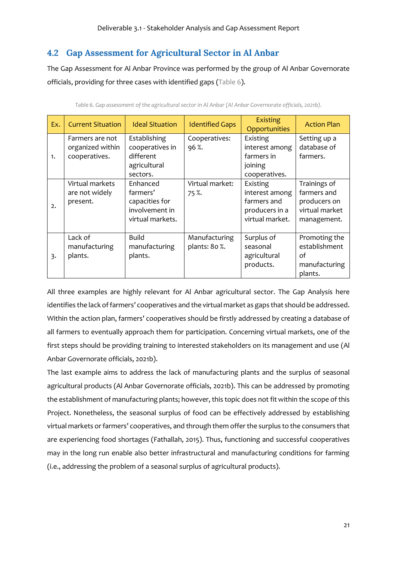# **4.2 Gap Assessment for Agricultural Sector in Al Anbar**

The Gap Assessment for Al Anbar Province was performed by the group of Al Anbar Governorate officials, providing for three cases with identified gaps (Table 6).

| Ex. | <b>Current Situation</b>                             | <b>Ideal Situation</b>                                                       | <b>Identified Gaps</b>         | <b>Existing</b><br>Opportunities                                               | <b>Action Plan</b>                                                           |
|-----|------------------------------------------------------|------------------------------------------------------------------------------|--------------------------------|--------------------------------------------------------------------------------|------------------------------------------------------------------------------|
| 1.  | Farmers are not<br>organized within<br>cooperatives. | Establishing<br>cooperatives in<br>different<br>agricultural<br>sectors.     | Cooperatives:<br>96%.          | Existing<br>interest among<br>farmers in<br>joining<br>cooperatives.           | Setting up a<br>database of<br>farmers.                                      |
| 2.  | Virtual markets<br>are not widely<br>present.        | Enhanced<br>farmers'<br>capacities for<br>involvement in<br>virtual markets. | Virtual market:<br>75%         | Existing<br>interest among<br>farmers and<br>producers in a<br>virtual market. | Trainings of<br>farmers and<br>producers on<br>virtual market<br>management. |
| 3.  | Lack of<br>manufacturing<br>plants.                  | <b>Build</b><br>manufacturing<br>plants.                                     | Manufacturing<br>plants: 80 %. | Surplus of<br>seasonal<br>agricultural<br>products.                            | Promoting the<br>establishment<br>of<br>manufacturing<br>plants.             |

*Table 6. Gap assessment of the agricultural sector in Al Anbar (Al Anbar Governorate officials, 2021b).*

All three examples are highly relevant for Al Anbar agricultural sector. The Gap Analysis here identifies the lack of farmers' cooperatives and the virtual market as gaps that should be addressed. Within the action plan, farmers' cooperatives should be firstly addressed by creating a database of all farmers to eventually approach them for participation. Concerning virtual markets, one of the first steps should be providing training to interested stakeholders on its management and use (Al Anbar Governorate officials, 2021b).

The last example aims to address the lack of manufacturing plants and the surplus of seasonal agricultural products (Al Anbar Governorate officials, 2021b). This can be addressed by promoting the establishment of manufacturing plants; however, this topic does not fit within the scope of this Project. Nonetheless, the seasonal surplus of food can be effectively addressed by establishing virtual markets or farmers' cooperatives, and through them offer the surplus to the consumers that are experiencing food shortages (Fathallah, 2015). Thus, functioning and successful cooperatives may in the long run enable also better infrastructural and manufacturing conditions for farming (i.e., addressing the problem of a seasonal surplus of agricultural products).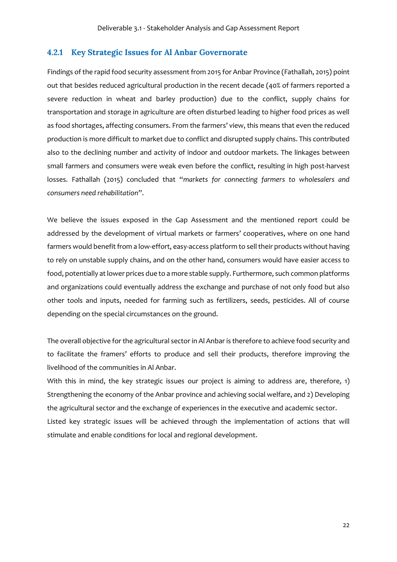#### **4.2.1 Key Strategic Issues for Al Anbar Governorate**

Findings of the rapid food security assessment from 2015 for Anbar Province (Fathallah, 2015) point out that besides reduced agricultural production in the recent decade (40% of farmers reported a severe reduction in wheat and barley production) due to the conflict, supply chains for transportation and storage in agriculture are often disturbed leading to higher food prices as well as food shortages, affecting consumers. From the farmers' view, this means that even the reduced production is more difficult to market due to conflict and disrupted supply chains. This contributed also to the declining number and activity of indoor and outdoor markets. The linkages between small farmers and consumers were weak even before the conflict, resulting in high post-harvest losses. Fathallah (2015) concluded that "*markets for connecting farmers to wholesalers and consumers need rehabilitation*".

We believe the issues exposed in the Gap Assessment and the mentioned report could be addressed by the development of virtual markets or farmers' cooperatives, where on one hand farmers would benefit from a low-effort, easy-access platform to sell their products without having to rely on unstable supply chains, and on the other hand, consumers would have easier access to food, potentially at lower prices due to a more stable supply. Furthermore, such common platforms and organizations could eventually address the exchange and purchase of not only food but also other tools and inputs, needed for farming such as fertilizers, seeds, pesticides. All of course depending on the special circumstances on the ground.

The overall objective for the agricultural sector in Al Anbar is therefore to achieve food security and to facilitate the framers' efforts to produce and sell their products, therefore improving the livelihood of the communities in Al Anbar.

With this in mind, the key strategic issues our project is aiming to address are, therefore, 1) Strengthening the economy of the Anbar province and achieving social welfare, and 2) Developing the agricultural sector and the exchange of experiences in the executive and academic sector. Listed key strategic issues will be achieved through the implementation of actions that will stimulate and enable conditions for local and regional development.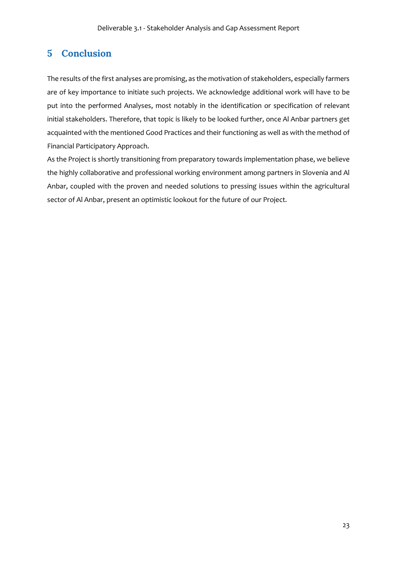# **5 Conclusion**

The results of the first analyses are promising, as the motivation of stakeholders, especially farmers are of key importance to initiate such projects. We acknowledge additional work will have to be put into the performed Analyses, most notably in the identification or specification of relevant initial stakeholders. Therefore, that topic is likely to be looked further, once Al Anbar partners get acquainted with the mentioned Good Practices and their functioning as well as with the method of Financial Participatory Approach.

As the Project is shortly transitioning from preparatory towards implementation phase, we believe the highly collaborative and professional working environment among partners in Slovenia and Al Anbar, coupled with the proven and needed solutions to pressing issues within the agricultural sector of Al Anbar, present an optimistic lookout for the future of our Project.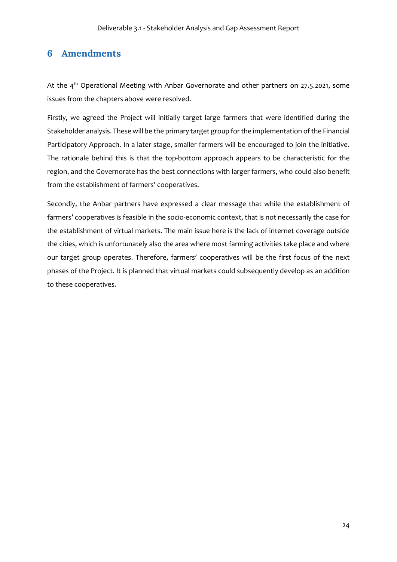# **6 Amendments**

At the 4<sup>th</sup> Operational Meeting with Anbar Governorate and other partners on 27.5.2021, some issues from the chapters above were resolved.

Firstly, we agreed the Project will initially target large farmers that were identified during the Stakeholder analysis. These will be the primary target group for the implementation of the Financial Participatory Approach. In a later stage, smaller farmers will be encouraged to join the initiative. The rationale behind this is that the top-bottom approach appears to be characteristic for the region, and the Governorate has the best connections with larger farmers, who could also benefit from the establishment of farmers' cooperatives.

Secondly, the Anbar partners have expressed a clear message that while the establishment of farmers' cooperatives is feasible in the socio-economic context, that is not necessarily the case for the establishment of virtual markets. The main issue here is the lack of internet coverage outside the cities, which is unfortunately also the area where most farming activities take place and where our target group operates. Therefore, farmers' cooperatives will be the first focus of the next phases of the Project. It is planned that virtual markets could subsequently develop as an addition to these cooperatives.